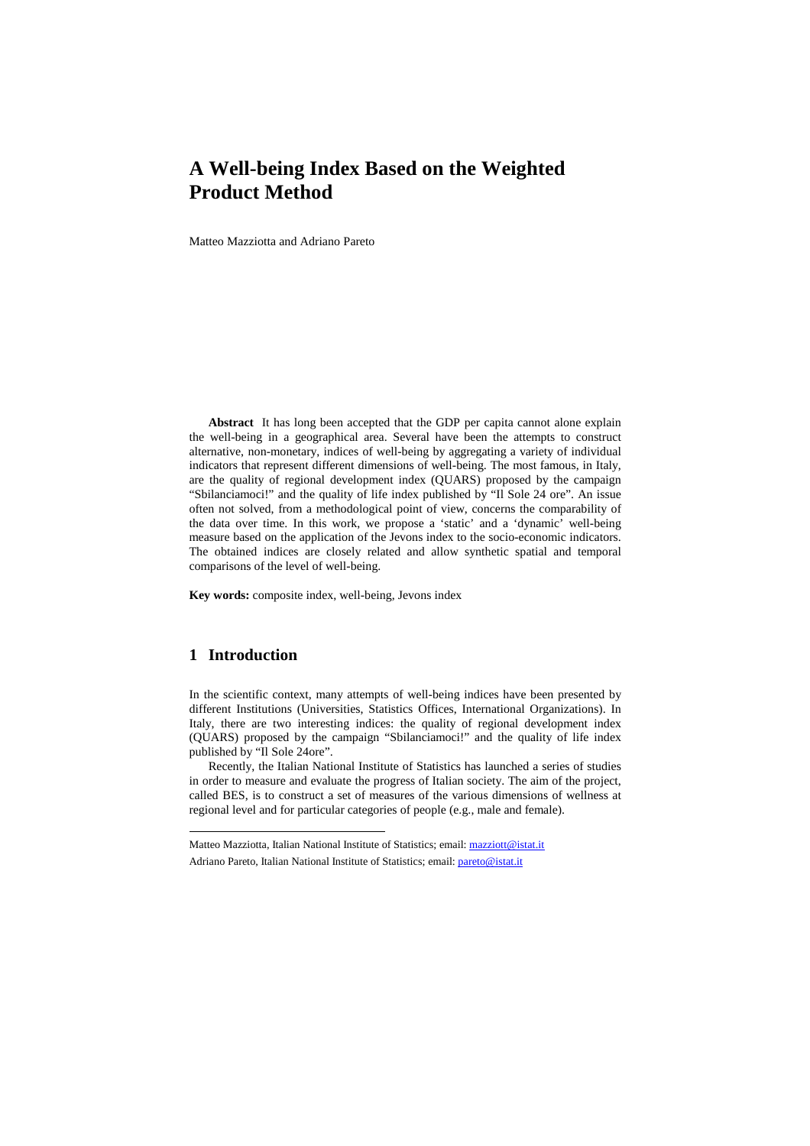# **A Well-being Index Based on the Weighted Product Method**

Matteo Mazziotta and Adriano Pareto

**Abstract** It has long been accepted that the GDP per capita cannot alone explain the well-being in a geographical area. Several have been the attempts to construct alternative, non-monetary, indices of well-being by aggregating a variety of individual indicators that represent different dimensions of well-being. The most famous, in Italy, are the quality of regional development index (QUARS) proposed by the campaign "Sbilanciamoci!" and the quality of life index published by "Il Sole 24 ore". An issue often not solved, from a methodological point of view, concerns the comparability of the data over time. In this work, we propose a 'static' and a 'dynamic' well-being measure based on the application of the Jevons index to the socio-economic indicators. The obtained indices are closely related and allow synthetic spatial and temporal comparisons of the level of well-being.

**Key words:** composite index, well-being, Jevons index

### **1 Introduction**

l

In the scientific context, many attempts of well-being indices have been presented by different Institutions (Universities, Statistics Offices, International Organizations). In Italy, there are two interesting indices: the quality of regional development index (QUARS) proposed by the campaign "Sbilanciamoci!" and the quality of life index published by "Il Sole 24ore".

Recently, the Italian National Institute of Statistics has launched a series of studies in order to measure and evaluate the progress of Italian society. The aim of the project, called BES, is to construct a set of measures of the various dimensions of wellness at regional level and for particular categories of people (e.g., male and female).

Matteo Mazziotta, Italian National Institute of Statistics; email: mazziott@istat.it Adriano Pareto, Italian National Institute of Statistics; email: pareto@istat.it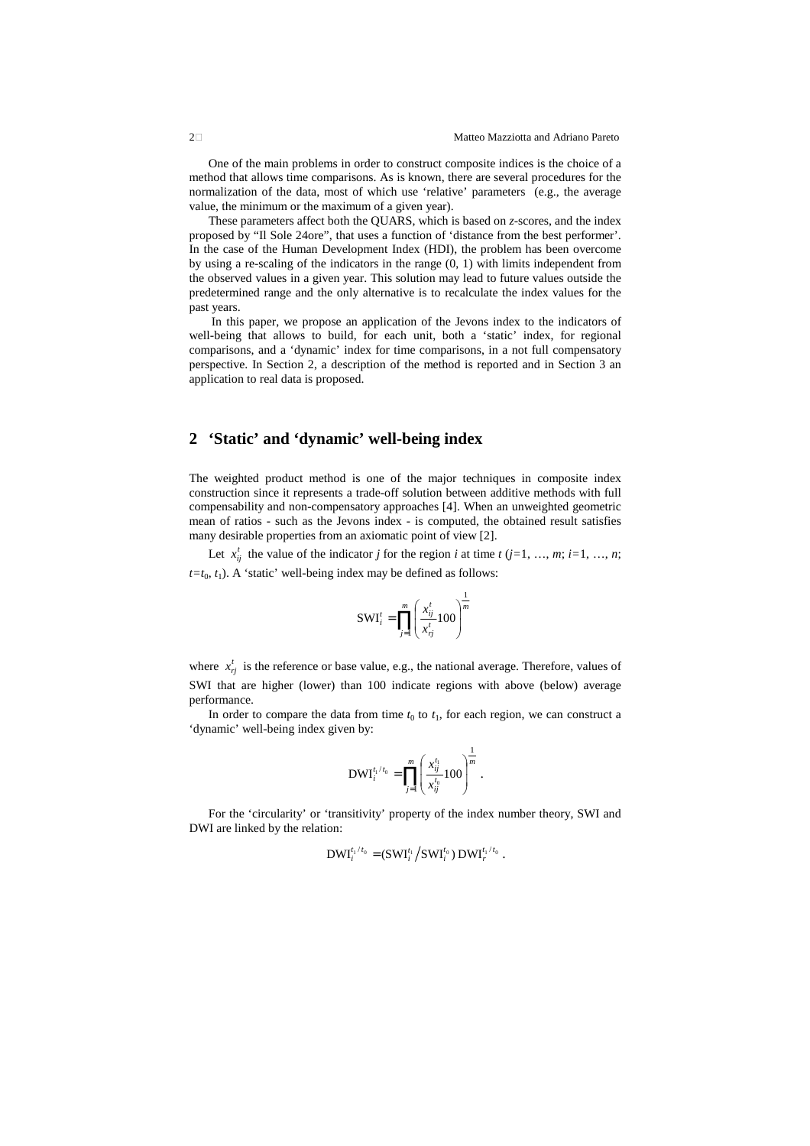One of the main problems in order to construct composite indices is the choice of a method that allows time comparisons. As is known, there are several procedures for the normalization of the data, most of which use 'relative' parameters (e.g., the average value, the minimum or the maximum of a given year).

These parameters affect both the QUARS, which is based on *z*-scores, and the index proposed by "Il Sole 24ore", that uses a function of 'distance from the best performer'. In the case of the Human Development Index (HDI), the problem has been overcome by using a re-scaling of the indicators in the range (0, 1) with limits independent from the observed values in a given year. This solution may lead to future values outside the predetermined range and the only alternative is to recalculate the index values for the past years.

 In this paper, we propose an application of the Jevons index to the indicators of well-being that allows to build, for each unit, both a 'static' index, for regional comparisons, and a 'dynamic' index for time comparisons, in a not full compensatory perspective. In Section 2, a description of the method is reported and in Section 3 an application to real data is proposed.

## **2 'Static' and 'dynamic' well-being index**

The weighted product method is one of the major techniques in composite index construction since it represents a trade-off solution between additive methods with full compensability and non-compensatory approaches [4]. When an unweighted geometric mean of ratios - such as the Jevons index - is computed, the obtained result satisfies many desirable properties from an axiomatic point of view [2].

Let  $x_{ij}^t$  the value of the indicator *j* for the region *i* at time *t* (*j*=1, …, *m*; *i*=1, …, *n*;  $t=t_0, t_1$ ). A 'static' well-being index may be defined as follows:

$$
SWI_i^t = \prod_{j=1}^m \left(\frac{x_{ij}^t}{x_{ij}^t} 100\right)^{\frac{1}{m}}
$$

where  $x_{rj}^t$  is the reference or base value, e.g., the national average. Therefore, values of SWI that are higher (lower) than 100 indicate regions with above (below) average performance.

In order to compare the data from time  $t_0$  to  $t_1$ , for each region, we can construct a 'dynamic' well-being index given by:

$$
\text{DWI}_{i}^{t_{i}/t_{0}} = \prod_{j=1}^{m} \left(\frac{x_{ij}^{t_{1}}}{x_{ij}^{t_{0}}}100\right)^{\frac{1}{m}}.
$$

For the 'circularity' or 'transitivity' property of the index number theory, SWI and DWI are linked by the relation:

$$
\text{DWI}_{i}^{t_1/t_0} = (\text{SWI}_{i}^{t_1} / \text{SWI}_{i}^{t_0}) \text{DWI}_{r}^{t_1/t_0}.
$$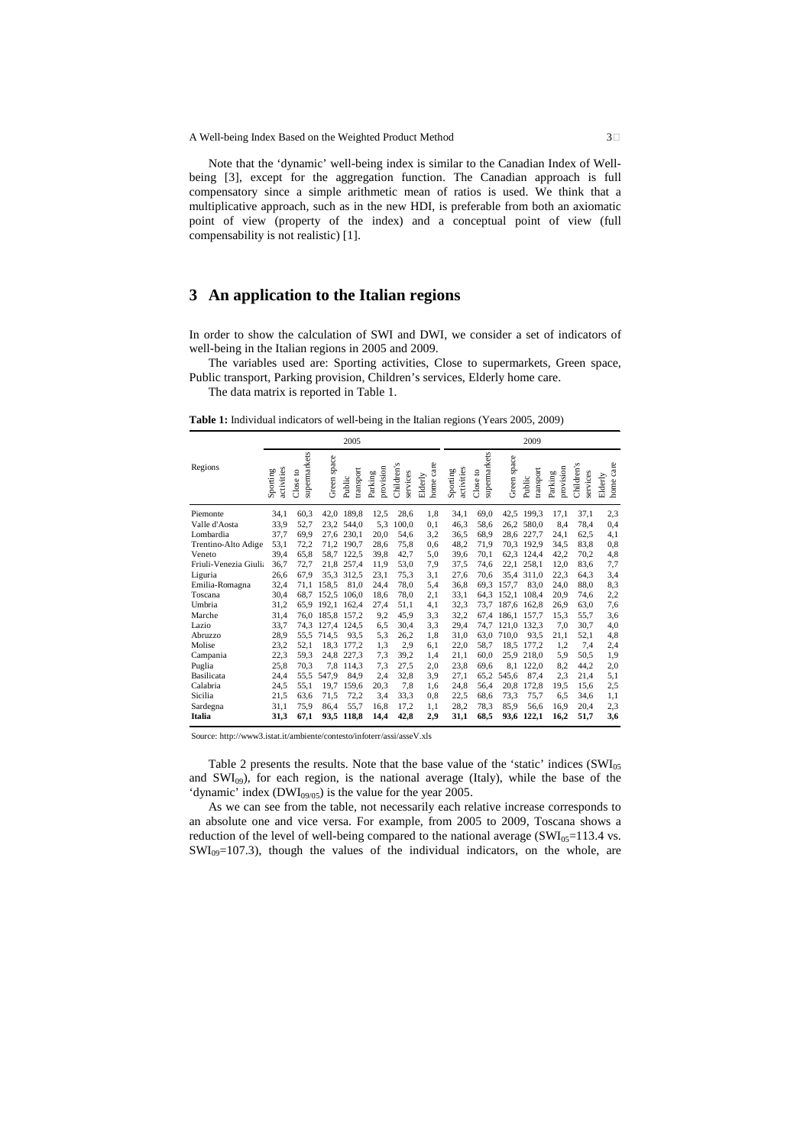Note that the 'dynamic' well-being index is similar to the Canadian Index of Wellbeing [3], except for the aggregation function. The Canadian approach is full compensatory since a simple arithmetic mean of ratios is used. We think that a multiplicative approach, such as in the new HDI, is preferable from both an axiomatic point of view (property of the index) and a conceptual point of view (full compensability is not realistic) [1].

### **3 An application to the Italian regions**

In order to show the calculation of SWI and DWI, we consider a set of indicators of well-being in the Italian regions in 2005 and 2009.

The variables used are: Sporting activities, Close to supermarkets, Green space, Public transport, Parking provision, Children's services, Elderly home care.

The data matrix is reported in Table 1.

**Table 1:** Individual indicators of well-being in the Italian regions (Years 2005, 2009)

|                       | 2005                   |                          |             |                     |                      |                        | 2009                 |                        |                          |             |                     |                      |                        |                      |
|-----------------------|------------------------|--------------------------|-------------|---------------------|----------------------|------------------------|----------------------|------------------------|--------------------------|-------------|---------------------|----------------------|------------------------|----------------------|
| Regions               | activities<br>Sporting | supermarkets<br>Close to | Green space | transport<br>Public | provision<br>Parking | Children's<br>services | home care<br>Elderly | activities<br>Sporting | supermarkets<br>Close to | Green space | transport<br>Public | provision<br>Parking | Children's<br>services | home care<br>Elderly |
| Piemonte              | 34,1                   | 60,3                     |             | 42,0 189,8          | 12,5                 | 28,6                   | 1,8                  | 34,1                   | 69,0                     | 42,5        | 199.3               | 17,1                 | 37,1                   | 2,3                  |
| Valle d'Aosta         | 33,9                   | 52,7                     | 23.2        | 544.0               | 5,3                  | 100,0                  | 0,1                  | 46,3                   | 58,6                     | 26,2        | 580.0               | 8,4                  | 78.4                   | 0,4                  |
| Lombardia             | 37,7                   | 69,9                     | 27.6        | 230.1               | 20,0                 | 54.6                   | 3,2                  | 36.5                   | 68,9                     | 28.6        | 227.7               | 24,1                 | 62.5                   | 4,1                  |
| Trentino-Alto Adige   | 53,1                   | 72,2                     | 71.2        | 190.7               | 28,6                 | 75.8                   | 0,6                  | 48,2                   | 71.9                     | 70.3        | 192.9               | 34,5                 | 83.8                   | 0, 8                 |
| Veneto                | 39,4                   | 65,8                     | 58,7        | 122,5               | 39,8                 | 42,7                   | 5,0                  | 39,6                   | 70.1                     | 62,3        | 124.4               | 42,2                 | 70.2                   | 4,8                  |
| Friuli-Venezia Giulia | 36,7                   | 72,7                     | 21,8        | 257.4               | 11.9                 | 53.0                   | 7,9                  | 37,5                   | 74,6                     | 22.1        | 258.1               | 12,0                 | 83.6                   | 7,7                  |
| Liguria               | 26.6                   | 67,9                     | 35,3        | 312.5               | 23,1                 | 75.3                   | 3,1                  | 27,6                   | 70,6                     | 35.4        | 311.0               | 22,3                 | 64.3                   | 3,4                  |
| Emilia-Romagna        | 32,4                   | 71,1                     | 158,5       | 81.0                | 24,4                 | 78,0                   | 5,4                  | 36,8                   | 69.3                     | 157.7       | 83,0                | 24,0                 | 88.0                   | 8,3                  |
| Toscana               | 30,4                   | 68.7                     | 152.5       | 106.0               | 18.6                 | 78.0                   | 2,1                  | 33,1                   | 64.3                     | 152.1       | 108.4               | 20,9                 | 74.6                   | 2,2                  |
| Umbria                | 31,2                   | 65.9                     | 192.1       | 162.4               | 27,4                 | 51.1                   | 4,1                  | 32,3                   | 73.7                     | 187.6       | 162.8               | 26,9                 | 63.0                   | 7,6                  |
| Marche                | 31,4                   | 76.0                     | 185.8       | 157.2               | 9,2                  | 45.9                   | 3,3                  | 32,2                   | 67.4                     | 186.1       | 157.7               | 15,3                 | 55.7                   | 3,6                  |
| Lazio                 | 33,7                   | 74,3                     | 127.4       | 124.5               | 6,5                  | 30.4                   | 3,3                  | 29,4                   | 74,7                     | 121.0       | 132.3               | 7,0                  | 30.7                   | 4,0                  |
| Abruzzo               | 28,9                   | 55.5                     | 714,5       | 93.5                | 5,3                  | 26,2                   | 1,8                  | 31,0                   | 63.0                     | 710.0       | 93.5                | 21,1                 | 52,1                   | 4,8                  |
| Molise                | 23,2                   | 52,1                     | 18.3        | 177,2               | 1,3                  | 2,9                    | 6,1                  | 22,0                   | 58.7                     | 18.5        | 177.2               | 1,2                  | 7,4                    | 2,4                  |
| Campania              | 22,3                   | 59,3                     | 24,8        | 227.3               | 7,3                  | 39.2                   | 1,4                  | 21.1                   | 60,0                     | 25.9        | 218.0               | 5,9                  | 50.5                   | 1,9                  |
| Puglia                | 25,8                   | 70,3                     | 7.8         | 114.3               | 7,3                  | 27,5                   | 2,0                  | 23,8                   | 69,6                     | 8.1         | 122.0               | 8,2                  | 44,2                   | 2,0                  |
| Basilicata            | 24,4                   | 55,5                     | 547.9       | 84.9                | 2,4                  | 32,8                   | 3,9                  | 27,1                   | 65.2                     | 545.6       | 87.4                | 2,3                  | 21,4                   | 5,1                  |
| Calabria              | 24,5                   | 55,1                     | 19.7        | 159.6               | 20,3                 | 7,8                    | 1,6                  | 24,8                   | 56,4                     | 20.8        | 172,8               | 19.5                 | 15.6                   | 2,5                  |
| Sicilia               | 21,5                   | 63.6                     | 71,5        | 72,2                | 3.4                  | 33.3                   | 0,8                  | 22,5                   | 68.6                     | 73.3        | 75,7                | 6.5                  | 34.6                   | 1,1                  |
| Sardegna              | 31.1                   | 75.9                     | 86.4        | 55.7                | 16.8                 | 17.2                   | 1,1                  | 28,2                   | 78.3                     | 85.9        | 56.6                | 16,9                 | 20.4                   | 2,3                  |
| Italia                | 31,3                   | 67,1                     | 93,5        | 118,8               | 14,4                 | 42,8                   | 2,9                  | 31,1                   | 68,5                     | 93,6        | 122,1               | 16,2                 | 51,7                   | 3,6                  |

Source: http://www3.istat.it/ambiente/contesto/infoterr/assi/asseV.xls

Table 2 presents the results. Note that the base value of the 'static' indices (SWI<sub>05</sub>) and  $SWI_{09}$ ), for each region, is the national average (Italy), while the base of the 'dynamic' index  $(DWI_{09/05})$  is the value for the year 2005.

As we can see from the table, not necessarily each relative increase corresponds to an absolute one and vice versa. For example, from 2005 to 2009, Toscana shows a reduction of the level of well-being compared to the national average  $(SWI_{05}=113.4 \text{ vs.})$  $SWI_{09}=107.3$ ), though the values of the individual indicators, on the whole, are